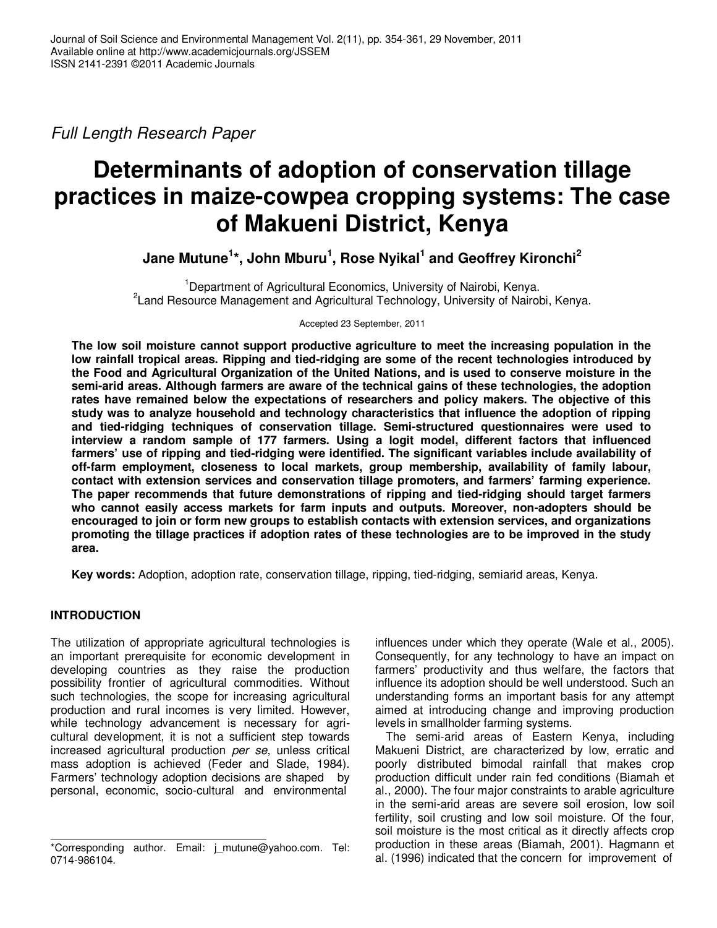Full Length Research Paper

# **Determinants of adoption of conservation tillage practices in maize-cowpea cropping systems: The case of Makueni District, Kenya**

**Jane Mutune<sup>1</sup> \*, John Mburu<sup>1</sup> , Rose Nyikal<sup>1</sup> and Geoffrey Kironchi<sup>2</sup>**

<sup>1</sup>Department of Agricultural Economics, University of Nairobi, Kenya. <sup>2</sup> Land Resource Management and Agricultural Technology, University of Nairobi, Kenya.

Accepted 23 September, 2011

**The low soil moisture cannot support productive agriculture to meet the increasing population in the low rainfall tropical areas. Ripping and tied-ridging are some of the recent technologies introduced by the Food and Agricultural Organization of the United Nations, and is used to conserve moisture in the semi-arid areas. Although farmers are aware of the technical gains of these technologies, the adoption rates have remained below the expectations of researchers and policy makers. The objective of this study was to analyze household and technology characteristics that influence the adoption of ripping and tied-ridging techniques of conservation tillage. Semi-structured questionnaires were used to interview a random sample of 177 farmers. Using a logit model, different factors that influenced farmers' use of ripping and tied-ridging were identified. The significant variables include availability of off-farm employment, closeness to local markets, group membership, availability of family labour, contact with extension services and conservation tillage promoters, and farmers' farming experience. The paper recommends that future demonstrations of ripping and tied-ridging should target farmers who cannot easily access markets for farm inputs and outputs. Moreover, non-adopters should be encouraged to join or form new groups to establish contacts with extension services, and organizations promoting the tillage practices if adoption rates of these technologies are to be improved in the study area.** 

**Key words:** Adoption, adoption rate, conservation tillage, ripping, tied-ridging, semiarid areas, Kenya.

## **INTRODUCTION**

The utilization of appropriate agricultural technologies is an important prerequisite for economic development in developing countries as they raise the production possibility frontier of agricultural commodities. Without such technologies, the scope for increasing agricultural production and rural incomes is very limited. However, while technology advancement is necessary for agricultural development, it is not a sufficient step towards increased agricultural production per se, unless critical mass adoption is achieved (Feder and Slade, 1984). Farmers' technology adoption decisions are shaped by personal, economic, socio-cultural and environmental

influences under which they operate (Wale et al., 2005). Consequently, for any technology to have an impact on farmers' productivity and thus welfare, the factors that influence its adoption should be well understood. Such an understanding forms an important basis for any attempt aimed at introducing change and improving production levels in smallholder farming systems.

The semi-arid areas of Eastern Kenya, including Makueni District, are characterized by low, erratic and poorly distributed bimodal rainfall that makes crop production difficult under rain fed conditions (Biamah et al., 2000). The four major constraints to arable agriculture in the semi-arid areas are severe soil erosion, low soil fertility, soil crusting and low soil moisture. Of the four, soil moisture is the most critical as it directly affects crop production in these areas (Biamah, 2001). Hagmann et al. (1996) indicated that the concern for improvement of

<sup>\*</sup>Corresponding author. Email: j\_mutune@yahoo.com. Tel: 0714-986104.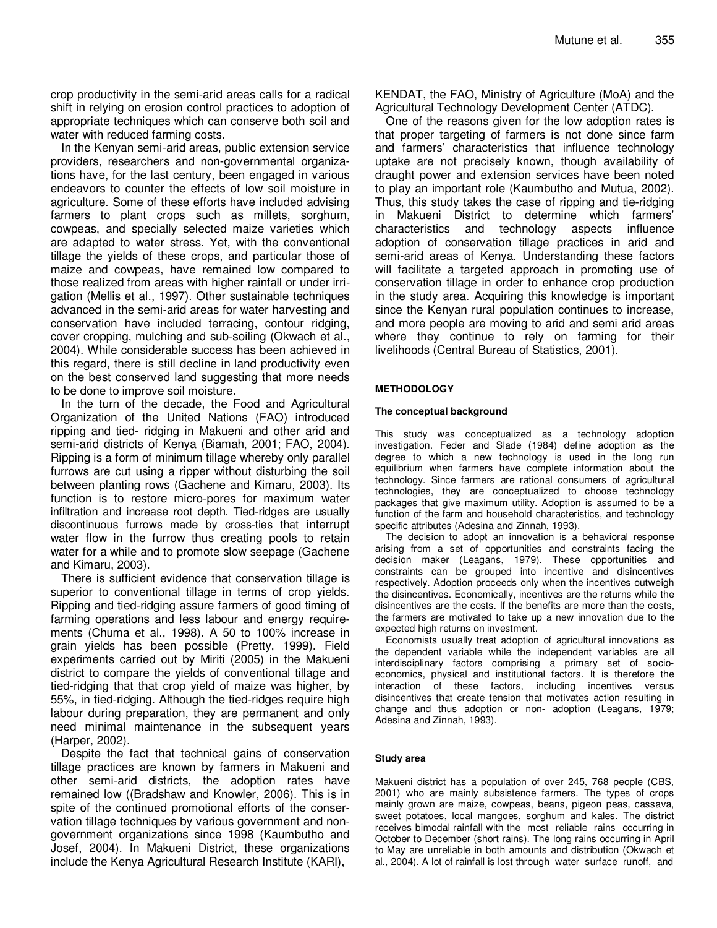crop productivity in the semi-arid areas calls for a radical shift in relying on erosion control practices to adoption of appropriate techniques which can conserve both soil and water with reduced farming costs.

In the Kenyan semi-arid areas, public extension service providers, researchers and non-governmental organizations have, for the last century, been engaged in various endeavors to counter the effects of low soil moisture in agriculture. Some of these efforts have included advising farmers to plant crops such as millets, sorghum, cowpeas, and specially selected maize varieties which are adapted to water stress. Yet, with the conventional tillage the yields of these crops, and particular those of maize and cowpeas, have remained low compared to those realized from areas with higher rainfall or under irrigation (Mellis et al., 1997). Other sustainable techniques advanced in the semi-arid areas for water harvesting and conservation have included terracing, contour ridging, cover cropping, mulching and sub-soiling (Okwach et al., 2004). While considerable success has been achieved in this regard, there is still decline in land productivity even on the best conserved land suggesting that more needs to be done to improve soil moisture.

In the turn of the decade, the Food and Agricultural Organization of the United Nations (FAO) introduced ripping and tied- ridging in Makueni and other arid and semi-arid districts of Kenya (Biamah, 2001; FAO, 2004). Ripping is a form of minimum tillage whereby only parallel furrows are cut using a ripper without disturbing the soil between planting rows (Gachene and Kimaru, 2003). Its function is to restore micro-pores for maximum water infiltration and increase root depth. Tied-ridges are usually discontinuous furrows made by cross-ties that interrupt water flow in the furrow thus creating pools to retain water for a while and to promote slow seepage (Gachene and Kimaru, 2003).

There is sufficient evidence that conservation tillage is superior to conventional tillage in terms of crop yields. Ripping and tied-ridging assure farmers of good timing of farming operations and less labour and energy requirements (Chuma et al., 1998). A 50 to 100% increase in grain yields has been possible (Pretty, 1999). Field experiments carried out by Miriti (2005) in the Makueni district to compare the yields of conventional tillage and tied-ridging that that crop yield of maize was higher, by 55%, in tied-ridging. Although the tied-ridges require high labour during preparation, they are permanent and only need minimal maintenance in the subsequent years (Harper, 2002).

Despite the fact that technical gains of conservation tillage practices are known by farmers in Makueni and other semi-arid districts, the adoption rates have remained low ((Bradshaw and Knowler, 2006). This is in spite of the continued promotional efforts of the conservation tillage techniques by various government and nongovernment organizations since 1998 (Kaumbutho and Josef, 2004). In Makueni District, these organizations include the Kenya Agricultural Research Institute (KARI),

KENDAT, the FAO, Ministry of Agriculture (MoA) and the Agricultural Technology Development Center (ATDC).

One of the reasons given for the low adoption rates is that proper targeting of farmers is not done since farm and farmers' characteristics that influence technology uptake are not precisely known, though availability of draught power and extension services have been noted to play an important role (Kaumbutho and Mutua, 2002). Thus, this study takes the case of ripping and tie-ridging in Makueni District to determine which farmers' characteristics and technology aspects influence adoption of conservation tillage practices in arid and semi-arid areas of Kenya. Understanding these factors will facilitate a targeted approach in promoting use of conservation tillage in order to enhance crop production in the study area. Acquiring this knowledge is important since the Kenyan rural population continues to increase, and more people are moving to arid and semi arid areas where they continue to rely on farming for their livelihoods (Central Bureau of Statistics, 2001).

### **METHODOLOGY**

#### **The conceptual background**

This study was conceptualized as a technology adoption investigation. Feder and Slade (1984) define adoption as the degree to which a new technology is used in the long run equilibrium when farmers have complete information about the technology. Since farmers are rational consumers of agricultural technologies, they are conceptualized to choose technology packages that give maximum utility. Adoption is assumed to be a function of the farm and household characteristics, and technology specific attributes (Adesina and Zinnah, 1993).

The decision to adopt an innovation is a behavioral response arising from a set of opportunities and constraints facing the decision maker (Leagans, 1979). These opportunities and constraints can be grouped into incentive and disincentives respectively. Adoption proceeds only when the incentives outweigh the disincentives. Economically, incentives are the returns while the disincentives are the costs. If the benefits are more than the costs, the farmers are motivated to take up a new innovation due to the expected high returns on investment.

Economists usually treat adoption of agricultural innovations as the dependent variable while the independent variables are all interdisciplinary factors comprising a primary set of socioeconomics, physical and institutional factors. It is therefore the interaction of these factors, including incentives versus disincentives that create tension that motivates action resulting in change and thus adoption or non- adoption (Leagans, 1979; Adesina and Zinnah, 1993).

#### **Study area**

Makueni district has a population of over 245, 768 people (CBS, 2001) who are mainly subsistence farmers. The types of crops mainly grown are maize, cowpeas, beans, pigeon peas, cassava, sweet potatoes, local mangoes, sorghum and kales. The district receives bimodal rainfall with the most reliable rains occurring in October to December (short rains). The long rains occurring in April to May are unreliable in both amounts and distribution (Okwach et al., 2004). A lot of rainfall is lost through water surface runoff, and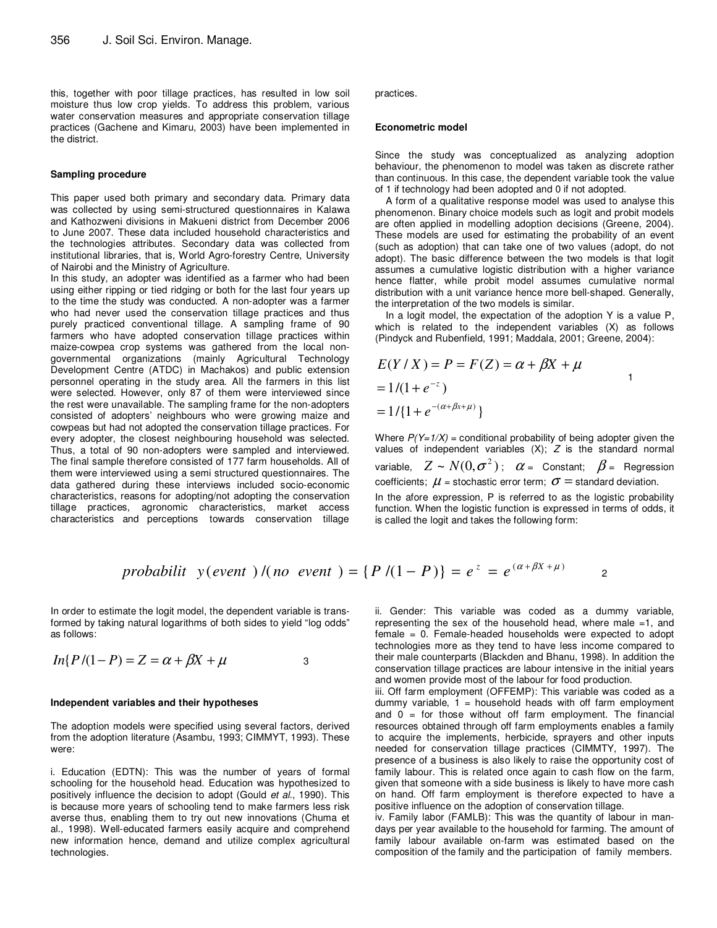this, together with poor tillage practices, has resulted in low soil moisture thus low crop yields. To address this problem, various water conservation measures and appropriate conservation tillage practices (Gachene and Kimaru, 2003) have been implemented in the district.

#### **Sampling procedure**

This paper used both primary and secondary data. Primary data was collected by using semi-structured questionnaires in Kalawa and Kathozweni divisions in Makueni district from December 2006 to June 2007. These data included household characteristics and the technologies attributes. Secondary data was collected from institutional libraries, that is, World Agro-forestry Centre, University of Nairobi and the Ministry of Agriculture.

In this study, an adopter was identified as a farmer who had been using either ripping or tied ridging or both for the last four years up to the time the study was conducted. A non-adopter was a farmer who had never used the conservation tillage practices and thus purely practiced conventional tillage. A sampling frame of 90 farmers who have adopted conservation tillage practices within maize-cowpea crop systems was gathered from the local nongovernmental organizations (mainly Agricultural Technology Development Centre (ATDC) in Machakos) and public extension personnel operating in the study area. All the farmers in this list were selected. However, only 87 of them were interviewed since the rest were unavailable. The sampling frame for the non-adopters consisted of adopters' neighbours who were growing maize and cowpeas but had not adopted the conservation tillage practices. For every adopter, the closest neighbouring household was selected. Thus, a total of 90 non-adopters were sampled and interviewed. The final sample therefore consisted of 177 farm households. All of them were interviewed using a semi structured questionnaires. The data gathered during these interviews included socio-economic characteristics, reasons for adopting/not adopting the conservation tillage practices, agronomic characteristics, market access characteristics and perceptions towards conservation tillage practices.

#### **Econometric model**

Since the study was conceptualized as analyzing adoption behaviour, the phenomenon to model was taken as discrete rather than continuous. In this case, the dependent variable took the value of 1 if technology had been adopted and 0 if not adopted.

A form of a qualitative response model was used to analyse this phenomenon. Binary choice models such as logit and probit models are often applied in modelling adoption decisions (Greene, 2004). These models are used for estimating the probability of an event (such as adoption) that can take one of two values (adopt, do not adopt). The basic difference between the two models is that logit assumes a cumulative logistic distribution with a higher variance hence flatter, while probit model assumes cumulative normal distribution with a unit variance hence more bell-shaped. Generally, the interpretation of the two models is similar.

In a logit model, the expectation of the adoption Y is a value P, which is related to the independent variables (X) as follows (Pindyck and Rubenfield, 1991; Maddala, 2001; Greene, 2004):

$$
E(Y/X) = P = F(Z) = \alpha + \beta X + \mu
$$
  
= 1/(1 + e<sup>-z</sup>)  
= 1/{1 + e<sup>-(\alpha + \beta x + \mu)</sup>}

Where  $P(Y=1/X)$  = conditional probability of being adopter given the values of independent variables  $(X)$ ;  $Z$  is the standard normal variable,  $Z \sim N(0,\sigma^2)$ ;  $\alpha$  = Constant;  $\beta$  = Regression coefficients;  $\mu$  = stochastic error term;  $\sigma$  = standard deviation. In the afore expression, P is referred to as the logistic probability function. When the logistic function is expressed in terms of odds, it is called the logit and takes the following form:

*probability* 
$$
y
$$
 (*event* )  $/(no \ event) = {P / (1 - P)} = e^z = e^{(\alpha + \beta X + \mu)}$ 

In order to estimate the logit model, the dependent variable is transformed by taking natural logarithms of both sides to yield "log odds" as follows:

$$
In\{P/(1-P) = Z = \alpha + \beta X + \mu \tag{3}
$$

#### **Independent variables and their hypotheses**

The adoption models were specified using several factors, derived from the adoption literature (Asambu, 1993; CIMMYT, 1993). These were:

i. Education (EDTN): This was the number of years of formal schooling for the household head. Education was hypothesized to positively influence the decision to adopt (Gould et al., 1990). This is because more years of schooling tend to make farmers less risk averse thus, enabling them to try out new innovations (Chuma et al., 1998). Well-educated farmers easily acquire and comprehend new information hence, demand and utilize complex agricultural technologies.

ii. Gender: This variable was coded as a dummy variable, representing the sex of the household head, where male =1, and female = 0. Female-headed households were expected to adopt technologies more as they tend to have less income compared to their male counterparts (Blackden and Bhanu, 1998). In addition the conservation tillage practices are labour intensive in the initial years and women provide most of the labour for food production.

iii. Off farm employment (OFFEMP): This variable was coded as a dummy variable,  $1 =$  household heads with off farm employment and  $0 =$  for those without off farm employment. The financial resources obtained through off farm employments enables a family to acquire the implements, herbicide, sprayers and other inputs needed for conservation tillage practices (CIMMTY, 1997). The presence of a business is also likely to raise the opportunity cost of family labour. This is related once again to cash flow on the farm, given that someone with a side business is likely to have more cash on hand. Off farm employment is therefore expected to have a positive influence on the adoption of conservation tillage.

iv. Family labor (FAMLB): This was the quantity of labour in mandays per year available to the household for farming. The amount of family labour available on-farm was estimated based on the composition of the family and the participation of family members.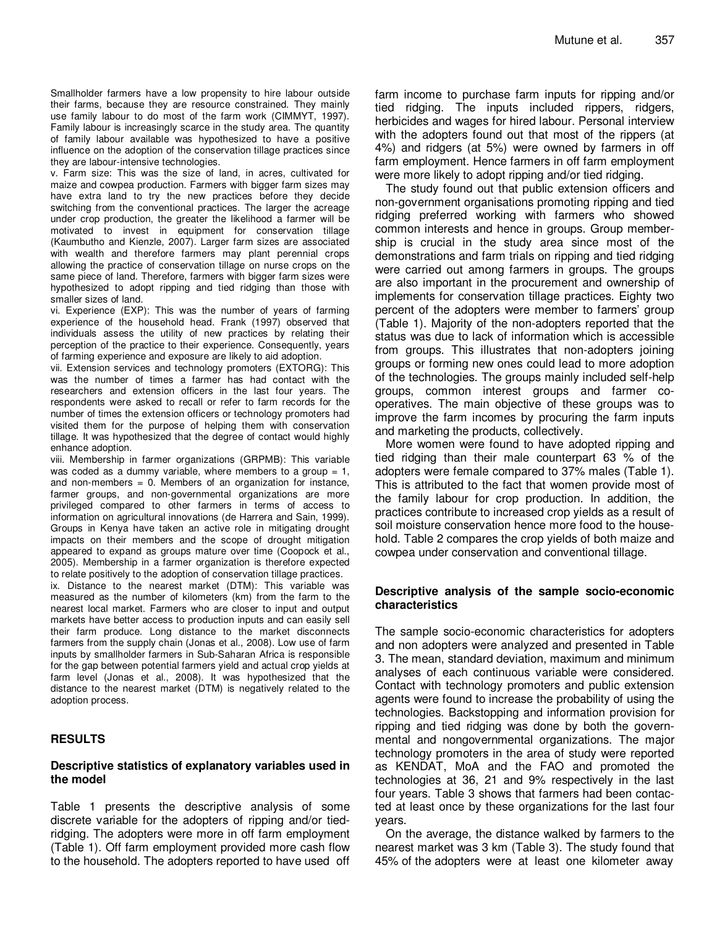Smallholder farmers have a low propensity to hire labour outside their farms, because they are resource constrained. They mainly use family labour to do most of the farm work (CIMMYT, 1997). Family labour is increasingly scarce in the study area. The quantity of family labour available was hypothesized to have a positive influence on the adoption of the conservation tillage practices since they are labour-intensive technologies.

v. Farm size: This was the size of land, in acres, cultivated for maize and cowpea production. Farmers with bigger farm sizes may have extra land to try the new practices before they decide switching from the conventional practices. The larger the acreage under crop production, the greater the likelihood a farmer will be motivated to invest in equipment for conservation tillage (Kaumbutho and Kienzle, 2007). Larger farm sizes are associated with wealth and therefore farmers may plant perennial crops allowing the practice of conservation tillage on nurse crops on the same piece of land. Therefore, farmers with bigger farm sizes were hypothesized to adopt ripping and tied ridging than those with smaller sizes of land.

vi. Experience (EXP): This was the number of years of farming experience of the household head. Frank (1997) observed that individuals assess the utility of new practices by relating their perception of the practice to their experience. Consequently, years of farming experience and exposure are likely to aid adoption.

vii. Extension services and technology promoters (EXTORG): This was the number of times a farmer has had contact with the researchers and extension officers in the last four years. The respondents were asked to recall or refer to farm records for the number of times the extension officers or technology promoters had visited them for the purpose of helping them with conservation tillage. It was hypothesized that the degree of contact would highly enhance adoption.

viii. Membership in farmer organizations (GRPMB): This variable was coded as a dummy variable, where members to a group  $= 1$ , and non-members  $= 0$ . Members of an organization for instance, farmer groups, and non-governmental organizations are more privileged compared to other farmers in terms of access to information on agricultural innovations (de Harrera and Sain, 1999). Groups in Kenya have taken an active role in mitigating drought impacts on their members and the scope of drought mitigation appeared to expand as groups mature over time (Coopock et al., 2005). Membership in a farmer organization is therefore expected to relate positively to the adoption of conservation tillage practices.

ix. Distance to the nearest market (DTM): This variable was measured as the number of kilometers (km) from the farm to the nearest local market. Farmers who are closer to input and output markets have better access to production inputs and can easily sell their farm produce. Long distance to the market disconnects farmers from the supply chain (Jonas et al., 2008). Low use of farm inputs by smallholder farmers in Sub-Saharan Africa is responsible for the gap between potential farmers yield and actual crop yields at farm level (Jonas et al., 2008). It was hypothesized that the distance to the nearest market (DTM) is negatively related to the adoption process.

## **RESULTS**

## **Descriptive statistics of explanatory variables used in the model**

Table 1 presents the descriptive analysis of some discrete variable for the adopters of ripping and/or tiedridging. The adopters were more in off farm employment (Table 1). Off farm employment provided more cash flow to the household. The adopters reported to have used off farm income to purchase farm inputs for ripping and/or tied ridging. The inputs included rippers, ridgers, herbicides and wages for hired labour. Personal interview with the adopters found out that most of the rippers (at 4%) and ridgers (at 5%) were owned by farmers in off farm employment. Hence farmers in off farm employment were more likely to adopt ripping and/or tied ridging.

The study found out that public extension officers and non-government organisations promoting ripping and tied ridging preferred working with farmers who showed common interests and hence in groups. Group membership is crucial in the study area since most of the demonstrations and farm trials on ripping and tied ridging were carried out among farmers in groups. The groups are also important in the procurement and ownership of implements for conservation tillage practices. Eighty two percent of the adopters were member to farmers' group (Table 1). Majority of the non-adopters reported that the status was due to lack of information which is accessible from groups. This illustrates that non-adopters joining groups or forming new ones could lead to more adoption of the technologies. The groups mainly included self-help groups, common interest groups and farmer cooperatives. The main objective of these groups was to improve the farm incomes by procuring the farm inputs and marketing the products, collectively.

More women were found to have adopted ripping and tied ridging than their male counterpart 63 % of the adopters were female compared to 37% males (Table 1). This is attributed to the fact that women provide most of the family labour for crop production. In addition, the practices contribute to increased crop yields as a result of soil moisture conservation hence more food to the household. Table 2 compares the crop yields of both maize and cowpea under conservation and conventional tillage.

## **Descriptive analysis of the sample socio-economic characteristics**

The sample socio-economic characteristics for adopters and non adopters were analyzed and presented in Table 3. The mean, standard deviation, maximum and minimum analyses of each continuous variable were considered. Contact with technology promoters and public extension agents were found to increase the probability of using the technologies. Backstopping and information provision for ripping and tied ridging was done by both the governmental and nongovernmental organizations. The major technology promoters in the area of study were reported as KENDAT, MoA and the FAO and promoted the technologies at 36, 21 and 9% respectively in the last four years. Table 3 shows that farmers had been contacted at least once by these organizations for the last four years.

On the average, the distance walked by farmers to the nearest market was 3 km (Table 3). The study found that 45% of the adopters were at least one kilometer away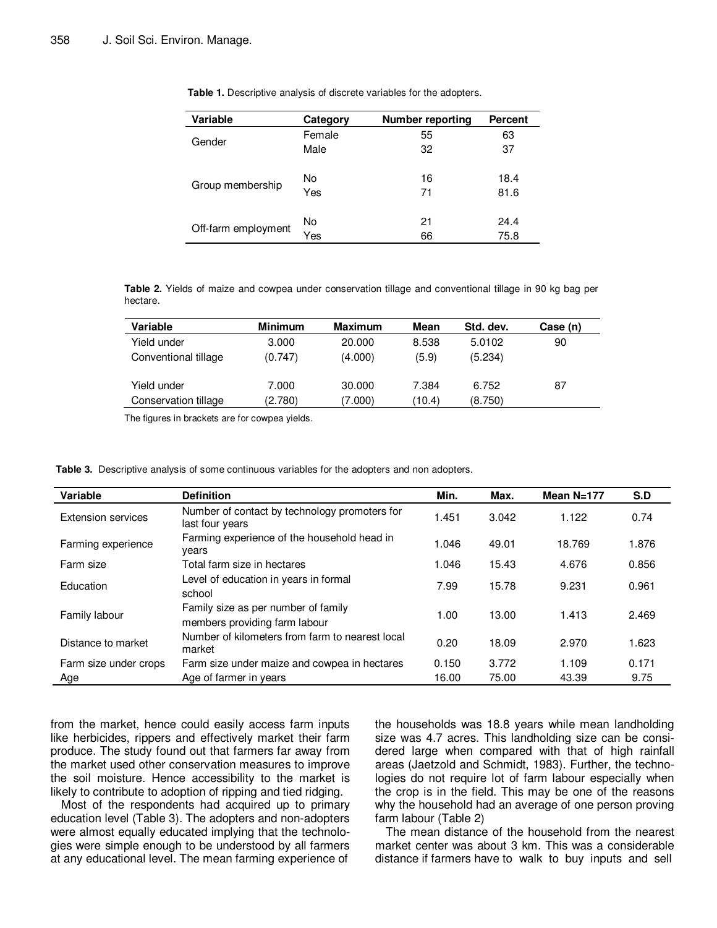| <b>Variable</b>     | Category | Number reporting | <b>Percent</b> |
|---------------------|----------|------------------|----------------|
|                     | Female   | 55               | 63             |
| Gender              | Male     | 32               | 37             |
|                     | No       | 16               | 18.4           |
| Group membership    | Yes      | 71               | 81.6           |
|                     | No       | 21               | 24.4           |
| Off-farm employment | Yes      | 66               | 75.8           |

**Table 1.** Descriptive analysis of discrete variables for the adopters.

**Table 2.** Yields of maize and cowpea under conservation tillage and conventional tillage in 90 kg bag per hectare.

| Variable             | <b>Minimum</b> | Maximum | Mean   | Std. dev. | Case (n) |
|----------------------|----------------|---------|--------|-----------|----------|
| Yield under          | 3.000          | 20,000  | 8.538  | 5.0102    | 90       |
| Conventional tillage | (0.747)        | (4.000) | (5.9)  | (5.234)   |          |
| Yield under          | 7.000          | 30,000  | 7.384  | 6.752     | 87       |
| Conservation tillage | (2.780)        | (7.000) | (10.4) | (8.750)   |          |

The figures in brackets are for cowpea yields.

| <b>Table 3.</b> Descriptive analysis of some continuous variables for the adopters and non adopters. |  |
|------------------------------------------------------------------------------------------------------|--|
|------------------------------------------------------------------------------------------------------|--|

| Variable                  | <b>Definition</b>                                                    | Min.  | Max.  | Mean $N=177$ | S.D   |
|---------------------------|----------------------------------------------------------------------|-------|-------|--------------|-------|
| <b>Extension services</b> | Number of contact by technology promoters for<br>last four years     | 1.451 | 3.042 | 1.122        | 0.74  |
| Farming experience        | Farming experience of the household head in<br>years                 | 1.046 | 49.01 | 18.769       | 1.876 |
| Farm size                 | Total farm size in hectares                                          | 1.046 | 15.43 | 4.676        | 0.856 |
| Education                 | Level of education in years in formal<br>school                      | 7.99  | 15.78 | 9.231        | 0.961 |
| Family labour             | Family size as per number of family<br>members providing farm labour | 1.00  | 13.00 | 1.413        | 2.469 |
| Distance to market        | Number of kilometers from farm to nearest local<br>market            | 0.20  | 18.09 | 2.970        | 1.623 |
| Farm size under crops     | Farm size under maize and cowpea in hectares                         | 0.150 | 3.772 | 1.109        | 0.171 |
| Age                       | Age of farmer in years                                               | 16.00 | 75.00 | 43.39        | 9.75  |

from the market, hence could easily access farm inputs like herbicides, rippers and effectively market their farm produce. The study found out that farmers far away from the market used other conservation measures to improve the soil moisture. Hence accessibility to the market is likely to contribute to adoption of ripping and tied ridging.

Most of the respondents had acquired up to primary education level (Table 3). The adopters and non-adopters were almost equally educated implying that the technologies were simple enough to be understood by all farmers at any educational level. The mean farming experience of the households was 18.8 years while mean landholding size was 4.7 acres. This landholding size can be considered large when compared with that of high rainfall areas (Jaetzold and Schmidt, 1983). Further, the technologies do not require lot of farm labour especially when the crop is in the field. This may be one of the reasons why the household had an average of one person proving farm labour (Table 2)

The mean distance of the household from the nearest market center was about 3 km. This was a considerable distance if farmers have to walk to buy inputs and sell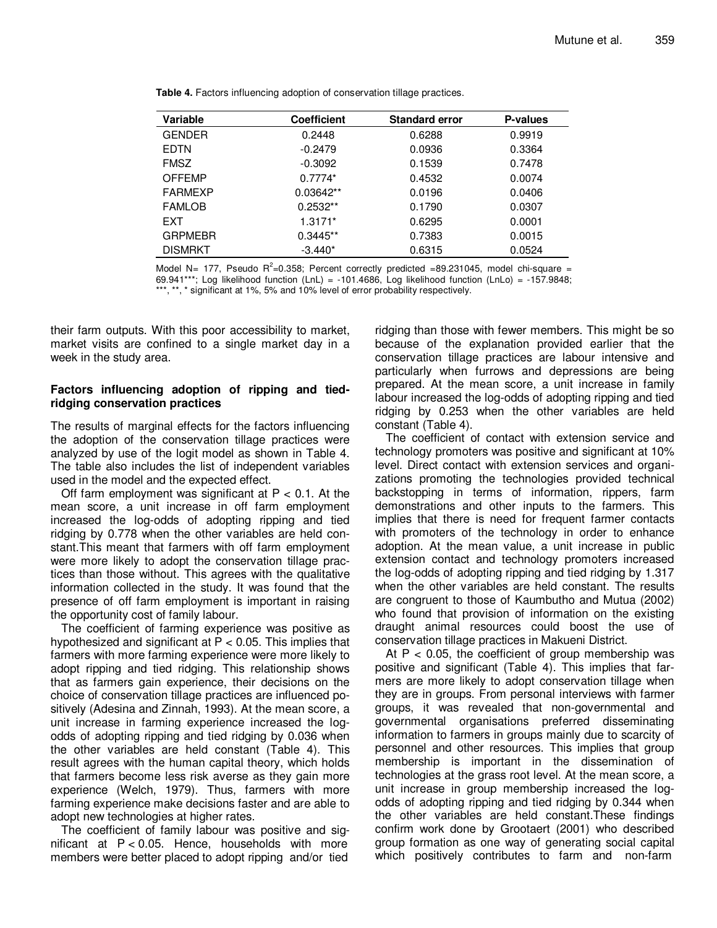| Variable       | <b>Coefficient</b> | <b>Standard error</b> | P-values |
|----------------|--------------------|-----------------------|----------|
| <b>GENDER</b>  | 0.2448             | 0.6288                | 0.9919   |
| <b>EDTN</b>    | $-0.2479$          | 0.0936                | 0.3364   |
| <b>FMSZ</b>    | $-0.3092$          | 0.1539                | 0.7478   |
| <b>OFFEMP</b>  | $0.7774*$          | 0.4532                | 0.0074   |
| <b>FARMEXP</b> | $0.03642**$        | 0.0196                | 0.0406   |
| <b>FAMLOB</b>  | $0.2532**$         | 0.1790                | 0.0307   |
| EXT            | $1.3171*$          | 0.6295                | 0.0001   |
| <b>GRPMEBR</b> | $0.3445**$         | 0.7383                | 0.0015   |
| <b>DISMRKT</b> | $-3.440*$          | 0.6315                | 0.0524   |

**Table 4.** Factors influencing adoption of conservation tillage practices.

Model N= 177, Pseudo  $R^2$ =0.358; Percent correctly predicted =89.231045, model chi-square = 69.941\*\*\*; Log likelihood function (LnL) = -101.4686, Log likelihood function (LnLo) = -157.9848; \*, \* significant at 1%, 5% and 10% level of error probability respectively.

their farm outputs. With this poor accessibility to market, market visits are confined to a single market day in a week in the study area.

## **Factors influencing adoption of ripping and tiedridging conservation practices**

The results of marginal effects for the factors influencing the adoption of the conservation tillage practices were analyzed by use of the logit model as shown in Table 4. The table also includes the list of independent variables used in the model and the expected effect.

Off farm employment was significant at  $P < 0.1$ . At the mean score, a unit increase in off farm employment increased the log-odds of adopting ripping and tied ridging by 0.778 when the other variables are held constant.This meant that farmers with off farm employment were more likely to adopt the conservation tillage practices than those without. This agrees with the qualitative information collected in the study. It was found that the presence of off farm employment is important in raising the opportunity cost of family labour.

The coefficient of farming experience was positive as hypothesized and significant at P < 0.05. This implies that farmers with more farming experience were more likely to adopt ripping and tied ridging. This relationship shows that as farmers gain experience, their decisions on the choice of conservation tillage practices are influenced positively (Adesina and Zinnah, 1993). At the mean score, a unit increase in farming experience increased the logodds of adopting ripping and tied ridging by 0.036 when the other variables are held constant (Table 4). This result agrees with the human capital theory, which holds that farmers become less risk averse as they gain more experience (Welch, 1979). Thus, farmers with more farming experience make decisions faster and are able to adopt new technologies at higher rates.

The coefficient of family labour was positive and significant at  $P < 0.05$ . Hence, households with more members were better placed to adopt ripping and/or tied

ridging than those with fewer members. This might be so because of the explanation provided earlier that the conservation tillage practices are labour intensive and particularly when furrows and depressions are being prepared. At the mean score, a unit increase in family labour increased the log-odds of adopting ripping and tied ridging by 0.253 when the other variables are held constant (Table 4).

The coefficient of contact with extension service and technology promoters was positive and significant at 10% level. Direct contact with extension services and organizations promoting the technologies provided technical backstopping in terms of information, rippers, farm demonstrations and other inputs to the farmers. This implies that there is need for frequent farmer contacts with promoters of the technology in order to enhance adoption. At the mean value, a unit increase in public extension contact and technology promoters increased the log-odds of adopting ripping and tied ridging by 1.317 when the other variables are held constant. The results are congruent to those of Kaumbutho and Mutua (2002) who found that provision of information on the existing draught animal resources could boost the use of conservation tillage practices in Makueni District.

At  $P < 0.05$ , the coefficient of group membership was positive and significant (Table 4). This implies that farmers are more likely to adopt conservation tillage when they are in groups. From personal interviews with farmer groups, it was revealed that non-governmental and governmental organisations preferred disseminating information to farmers in groups mainly due to scarcity of personnel and other resources. This implies that group membership is important in the dissemination of technologies at the grass root level. At the mean score, a unit increase in group membership increased the logodds of adopting ripping and tied ridging by 0.344 when the other variables are held constant.These findings confirm work done by Grootaert (2001) who described group formation as one way of generating social capital which positively contributes to farm and non-farm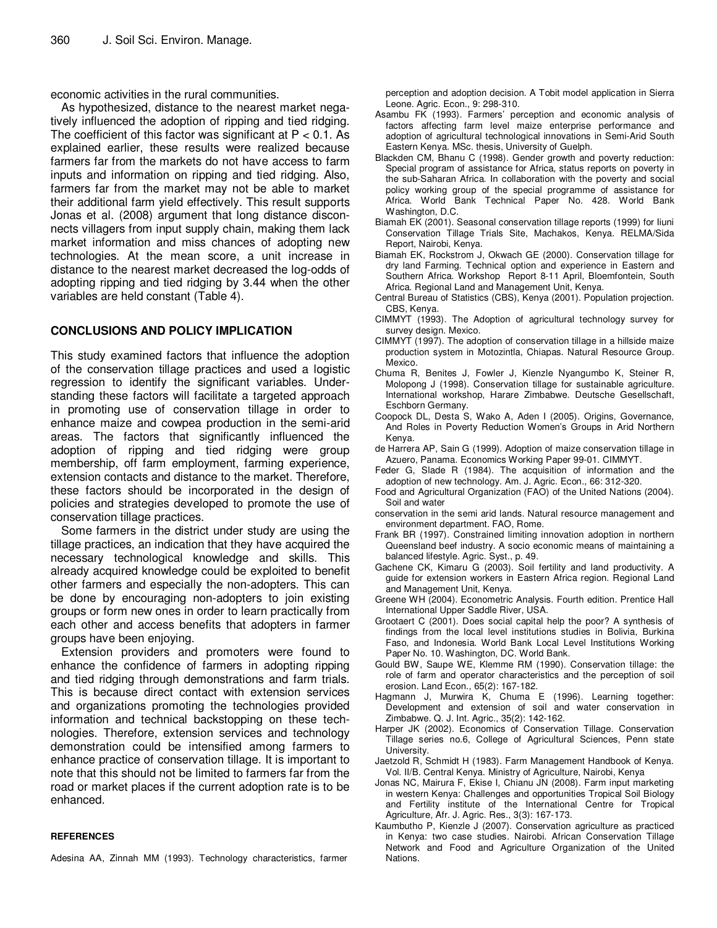economic activities in the rural communities.

As hypothesized, distance to the nearest market negatively influenced the adoption of ripping and tied ridging. The coefficient of this factor was significant at  $P < 0.1$ . As explained earlier, these results were realized because farmers far from the markets do not have access to farm inputs and information on ripping and tied ridging. Also, farmers far from the market may not be able to market their additional farm yield effectively. This result supports Jonas et al. (2008) argument that long distance disconnects villagers from input supply chain, making them lack market information and miss chances of adopting new technologies. At the mean score, a unit increase in distance to the nearest market decreased the log-odds of adopting ripping and tied ridging by 3.44 when the other variables are held constant (Table 4).

## **CONCLUSIONS AND POLICY IMPLICATION**

This study examined factors that influence the adoption of the conservation tillage practices and used a logistic regression to identify the significant variables. Understanding these factors will facilitate a targeted approach in promoting use of conservation tillage in order to enhance maize and cowpea production in the semi-arid areas. The factors that significantly influenced the adoption of ripping and tied ridging were group membership, off farm employment, farming experience, extension contacts and distance to the market. Therefore, these factors should be incorporated in the design of policies and strategies developed to promote the use of conservation tillage practices.

Some farmers in the district under study are using the tillage practices, an indication that they have acquired the necessary technological knowledge and skills. This already acquired knowledge could be exploited to benefit other farmers and especially the non-adopters. This can be done by encouraging non-adopters to join existing groups or form new ones in order to learn practically from each other and access benefits that adopters in farmer groups have been enjoying.

Extension providers and promoters were found to enhance the confidence of farmers in adopting ripping and tied ridging through demonstrations and farm trials. This is because direct contact with extension services and organizations promoting the technologies provided information and technical backstopping on these technologies. Therefore, extension services and technology demonstration could be intensified among farmers to enhance practice of conservation tillage. It is important to note that this should not be limited to farmers far from the road or market places if the current adoption rate is to be enhanced.

#### **REFERENCES**

Adesina AA, Zinnah MM (1993). Technology characteristics, farmer

perception and adoption decision. A Tobit model application in Sierra Leone. Agric. Econ., 9: 298-310.

- Asambu FK (1993). Farmers' perception and economic analysis of factors affecting farm level maize enterprise performance and adoption of agricultural technological innovations in Semi-Arid South Eastern Kenya. MSc. thesis, University of Guelph.
- Blackden CM, Bhanu C (1998). Gender growth and poverty reduction: Special program of assistance for Africa, status reports on poverty in the sub-Saharan Africa. In collaboration with the poverty and social policy working group of the special programme of assistance for Africa. World Bank Technical Paper No. 428. World Bank Washington, D.C.
- Biamah EK (2001). Seasonal conservation tillage reports (1999) for Iiuni Conservation Tillage Trials Site, Machakos, Kenya. RELMA/Sida Report, Nairobi, Kenya.
- Biamah EK, Rockstrom J, Okwach GE (2000). Conservation tillage for dry land Farming. Technical option and experience in Eastern and Southern Africa. Workshop Report 8-11 April, Bloemfontein, South Africa. Regional Land and Management Unit, Kenya.
- Central Bureau of Statistics (CBS), Kenya (2001). Population projection. CBS, Kenya.
- CIMMYT (1993). The Adoption of agricultural technology survey for survey design. Mexico.
- CIMMYT (1997). The adoption of conservation tillage in a hillside maize production system in Motozintla, Chiapas. Natural Resource Group. Mexico.
- Chuma R, Benites J, Fowler J, Kienzle Nyangumbo K, Steiner R, Molopong J (1998). Conservation tillage for sustainable agriculture. International workshop, Harare Zimbabwe. Deutsche Gesellschaft, Eschborn Germany.
- Coopock DL, Desta S, Wako A, Aden I (2005). Origins, Governance, And Roles in Poverty Reduction Women's Groups in Arid Northern Kenya.
- de Harrera AP, Sain G (1999). Adoption of maize conservation tillage in Azuero, Panama. Economics Working Paper 99-01. CIMMYT.
- Feder G, Slade R (1984). The acquisition of information and the adoption of new technology. Am. J. Agric. Econ., 66: 312-320.
- Food and Agricultural Organization (FAO) of the United Nations (2004). Soil and water
- conservation in the semi arid lands. Natural resource management and environment department. FAO, Rome.
- Frank BR (1997). Constrained limiting innovation adoption in northern Queensland beef industry. A socio economic means of maintaining a balanced lifestyle. Agric. Syst., p. 49.
- Gachene CK, Kimaru G (2003). Soil fertility and land productivity. A guide for extension workers in Eastern Africa region. Regional Land and Management Unit, Kenya.
- Greene WH (2004). Econometric Analysis. Fourth edition. Prentice Hall International Upper Saddle River, USA.
- Grootaert C (2001). Does social capital help the poor? A synthesis of findings from the local level institutions studies in Bolivia, Burkina Faso, and Indonesia. World Bank Local Level Institutions Working Paper No. 10. Washington, DC. World Bank.
- Gould BW, Saupe WE, Klemme RM (1990). Conservation tillage: the role of farm and operator characteristics and the perception of soil erosion. Land Econ., 65(2): 167-182.
- Hagmann J, Murwira K, Chuma E (1996). Learning together: Development and extension of soil and water conservation in Zimbabwe. Q. J. Int. Agric., 35(2): 142-162.
- Harper JK (2002). Economics of Conservation Tillage. Conservation Tillage series no.6, College of Agricultural Sciences, Penn state University.
- Jaetzold R, Schmidt H (1983). Farm Management Handbook of Kenya. Vol. II/B. Central Kenya. Ministry of Agriculture, Nairobi, Kenya
- Jonas NC, Mairura F, Ekise I, Chianu JN (2008). Farm input marketing in western Kenya: Challenges and opportunities Tropical Soil Biology and Fertility institute of the International Centre for Tropical Agriculture, Afr. J. Agric. Res., 3(3): 167-173.
- Kaumbutho P, Kienzle J (2007). Conservation agriculture as practiced in Kenya: two case studies. Nairobi. African Conservation Tillage Network and Food and Agriculture Organization of the United Nations.